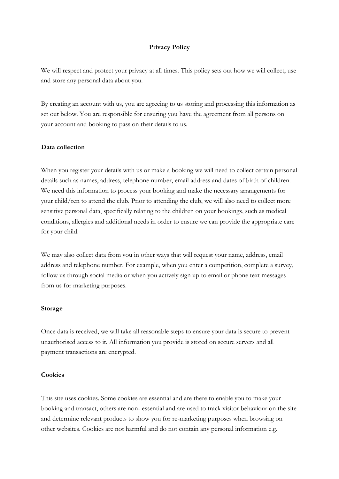### **Privacy Policy**

We will respect and protect your privacy at all times. This policy sets out how we will collect, use and store any personal data about you.

By creating an account with us, you are agreeing to us storing and processing this information as set out below. You are responsible for ensuring you have the agreement from all persons on your account and booking to pass on their details to us.

#### **Data collection**

When you register your details with us or make a booking we will need to collect certain personal details such as names, address, telephone number, email address and dates of birth of children. We need this information to process your booking and make the necessary arrangements for your child/ren to attend the club. Prior to attending the club, we will also need to collect more sensitive personal data, specifically relating to the children on your bookings, such as medical conditions, allergies and additional needs in order to ensure we can provide the appropriate care for your child.

We may also collect data from you in other ways that will request your name, address, email address and telephone number. For example, when you enter a competition, complete a survey, follow us through social media or when you actively sign up to email or phone text messages from us for marketing purposes.

#### **Storage**

Once data is received, we will take all reasonable steps to ensure your data is secure to prevent unauthorised access to it. All information you provide is stored on secure servers and all payment transactions are encrypted.

#### **Cookies**

This site uses cookies. Some cookies are essential and are there to enable you to make your booking and transact, others are non- essential and are used to track visitor behaviour on the site and determine relevant products to show you for re-marketing purposes when browsing on other websites. Cookies are not harmful and do not contain any personal information e.g.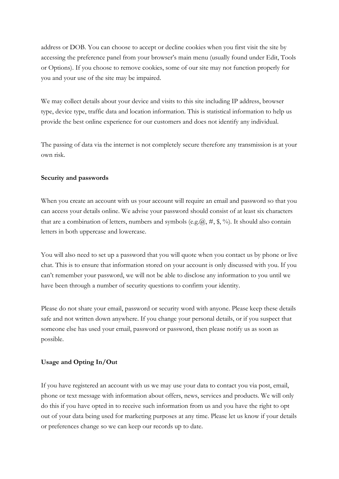address or DOB. You can choose to accept or decline cookies when you first visit the site by accessing the preference panel from your browser's main menu (usually found under Edit, Tools or Options). If you choose to remove cookies, some of our site may not function properly for you and your use of the site may be impaired.

We may collect details about your device and visits to this site including IP address, browser type, device type, traffic data and location information. This is statistical information to help us provide the best online experience for our customers and does not identify any individual.

The passing of data via the internet is not completely secure therefore any transmission is at your own risk.

## **Security and passwords**

When you create an account with us your account will require an email and password so that you can access your details online. We advise your password should consist of at least six characters that are a combination of letters, numbers and symbols (e.g. $(\hat{\omega}, \#, \hat{\mathcal{F}}, \%)$ ). It should also contain letters in both uppercase and lowercase.

You will also need to set up a password that you will quote when you contact us by phone or live chat. This is to ensure that information stored on your account is only discussed with you. If you can't remember your password, we will not be able to disclose any information to you until we have been through a number of security questions to confirm your identity.

Please do not share your email, password or security word with anyone. Please keep these details safe and not written down anywhere. If you change your personal details, or if you suspect that someone else has used your email, password or password, then please notify us as soon as possible.

## **Usage and Opting In/Out**

If you have registered an account with us we may use your data to contact you via post, email, phone or text message with information about offers, news, services and products. We will only do this if you have opted in to receive such information from us and you have the right to opt out of your data being used for marketing purposes at any time. Please let us know if your details or preferences change so we can keep our records up to date.